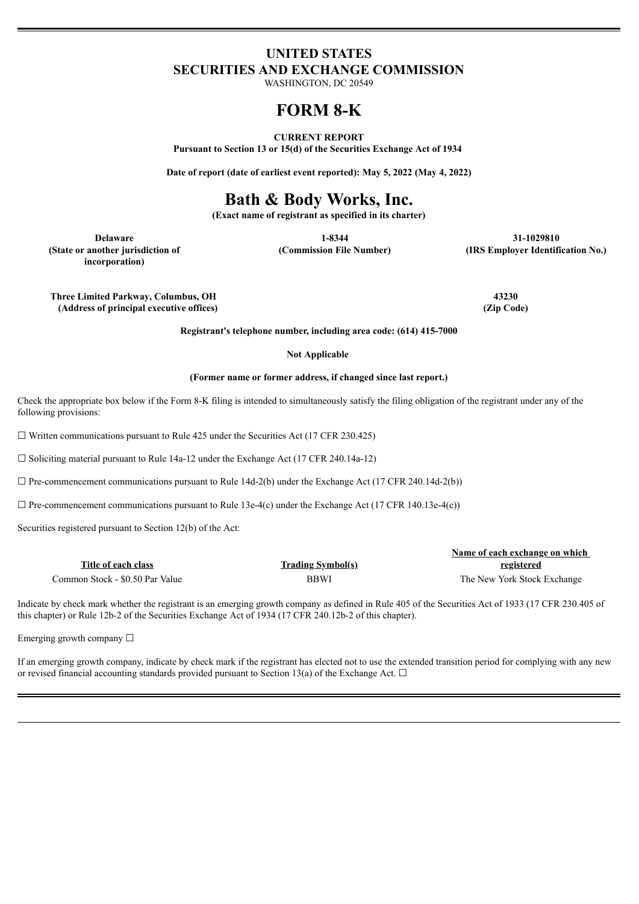# **UNITED STATES SECURITIES AND EXCHANGE COMMISSION**

WASHINGTON, DC 20549

# **FORM 8-K**

#### **CURRENT REPORT**

**Pursuant to Section 13 or 15(d) of the Securities Exchange Act of 1934**

**Date of report (date of earliest event reported): May 5, 2022 (May 4, 2022)**

# **Bath & Body Works, Inc.**

**(Exact name of registrant as specified in its charter)**

**(State or another jurisdiction of incorporation)**

**Delaware 1-8344 31-1029810 (Commission File Number) (IRS Employer Identification No.)**

**Three Limited Parkway, Columbus, OH 43230 (Address of principal executive offices) (Zip Code)**

**Registrant's telephone number, including area code: (614) 415-7000**

#### **Not Applicable**

#### **(Former name or former address, if changed since last report.)**

Check the appropriate box below if the Form 8-K filing is intended to simultaneously satisfy the filing obligation of the registrant under any of the following provisions:

 $\Box$  Written communications pursuant to Rule 425 under the Securities Act (17 CFR 230.425)

☐ Soliciting material pursuant to Rule 14a-12 under the Exchange Act (17 CFR 240.14a-12)

 $\Box$  Pre-commencement communications pursuant to Rule 14d-2(b) under the Exchange Act (17 CFR 240.14d-2(b))

 $\Box$  Pre-commencement communications pursuant to Rule 13e-4(c) under the Exchange Act (17 CFR 140.13e-4(c))

Securities registered pursuant to Section 12(b) of the Act:

|                                 |                          | Name of each exchange on which |  |
|---------------------------------|--------------------------|--------------------------------|--|
| Title of each class             | <b>Trading Symbol(s)</b> | registered                     |  |
| Common Stock - \$0.50 Par Value | <b>BBWI</b>              | The New York Stock Exchange    |  |

Indicate by check mark whether the registrant is an emerging growth company as defined in Rule 405 of the Securities Act of 1933 (17 CFR 230.405 of this chapter) or Rule 12b-2 of the Securities Exchange Act of 1934 (17 CFR 240.12b-2 of this chapter).

Emerging growth company  $\Box$ 

If an emerging growth company, indicate by check mark if the registrant has elected not to use the extended transition period for complying with any new or revised financial accounting standards provided pursuant to Section 13(a) of the Exchange Act.  $\Box$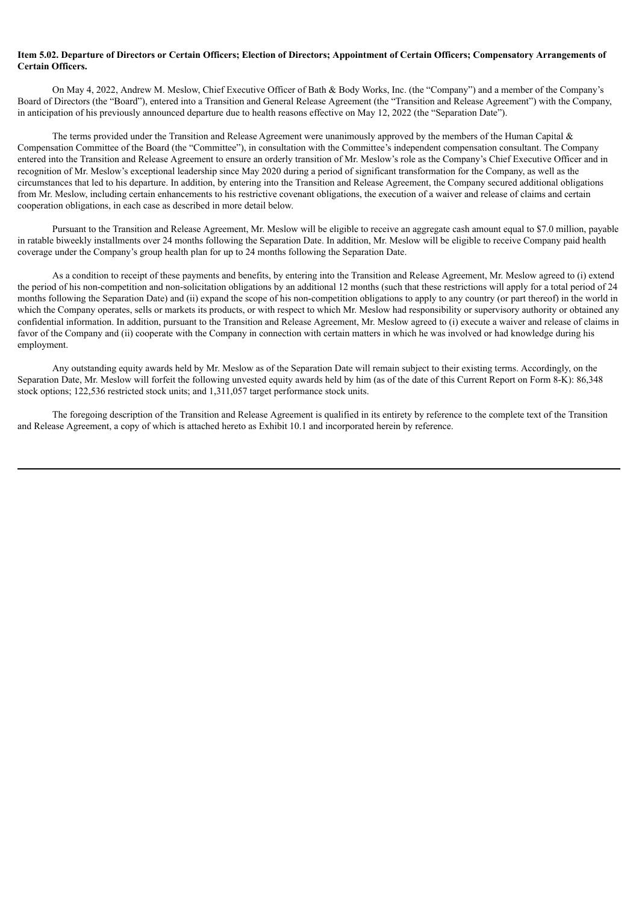## Item 5.02. Departure of Directors or Certain Officers: Election of Directors: Appointment of Certain Officers: Compensatory Arrangements of **Certain Officers.**

On May 4, 2022, Andrew M. Meslow, Chief Executive Officer of Bath & Body Works, Inc. (the "Company") and a member of the Company's Board of Directors (the "Board"), entered into a Transition and General Release Agreement (the "Transition and Release Agreement") with the Company, in anticipation of his previously announced departure due to health reasons effective on May 12, 2022 (the "Separation Date").

The terms provided under the Transition and Release Agreement were unanimously approved by the members of the Human Capital  $\&$ Compensation Committee of the Board (the "Committee"), in consultation with the Committee's independent compensation consultant. The Company entered into the Transition and Release Agreement to ensure an orderly transition of Mr. Meslow's role as the Company's Chief Executive Officer and in recognition of Mr. Meslow's exceptional leadership since May 2020 during a period of significant transformation for the Company, as well as the circumstances that led to his departure. In addition, by entering into the Transition and Release Agreement, the Company secured additional obligations from Mr. Meslow, including certain enhancements to his restrictive covenant obligations, the execution of a waiver and release of claims and certain cooperation obligations, in each case as described in more detail below.

Pursuant to the Transition and Release Agreement, Mr. Meslow will be eligible to receive an aggregate cash amount equal to \$7.0 million, payable in ratable biweekly installments over 24 months following the Separation Date. In addition, Mr. Meslow will be eligible to receive Company paid health coverage under the Company's group health plan for up to 24 months following the Separation Date.

As a condition to receipt of these payments and benefits, by entering into the Transition and Release Agreement, Mr. Meslow agreed to (i) extend the period of his non-competition and non-solicitation obligations by an additional 12 months (such that these restrictions will apply for a total period of 24 months following the Separation Date) and (ii) expand the scope of his non-competition obligations to apply to any country (or part thereof) in the world in which the Company operates, sells or markets its products, or with respect to which Mr. Meslow had responsibility or supervisory authority or obtained any confidential information. In addition, pursuant to the Transition and Release Agreement, Mr. Meslow agreed to (i) execute a waiver and release of claims in favor of the Company and (ii) cooperate with the Company in connection with certain matters in which he was involved or had knowledge during his employment.

Any outstanding equity awards held by Mr. Meslow as of the Separation Date will remain subject to their existing terms. Accordingly, on the Separation Date, Mr. Meslow will forfeit the following unvested equity awards held by him (as of the date of this Current Report on Form 8-K): 86,348 stock options; 122,536 restricted stock units; and 1,311,057 target performance stock units.

The foregoing description of the Transition and Release Agreement is qualified in its entirety by reference to the complete text of the Transition and Release Agreement, a copy of which is attached hereto as Exhibit 10.1 and incorporated herein by reference.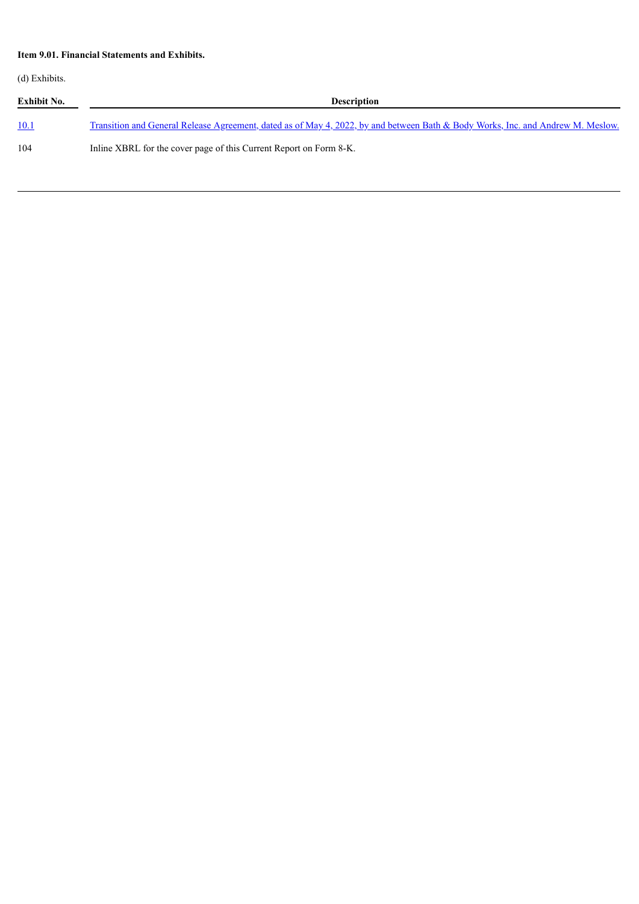# **Item 9.01. Financial Statements and Exhibits.**

(d) Exhibits.

| Exhibit No. | <b>Description</b>                                                                                                              |  |  |
|-------------|---------------------------------------------------------------------------------------------------------------------------------|--|--|
| <u>10.1</u> | Transition and General Release Agreement, dated as of May 4, 2022, by and between Bath & Body Works, Inc. and Andrew M. Meslow. |  |  |
| 104         | Inline XBRL for the cover page of this Current Report on Form 8-K.                                                              |  |  |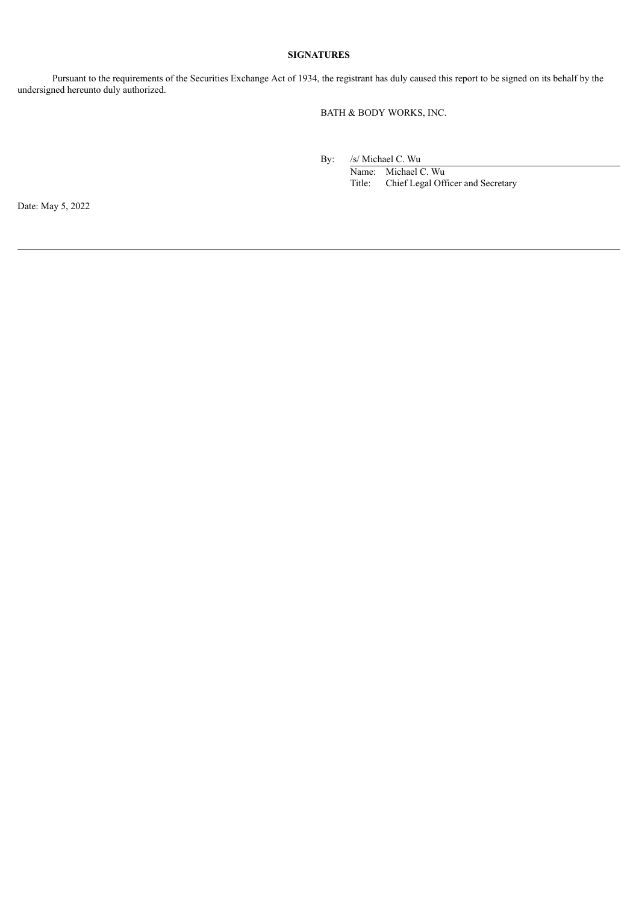# **SIGNATURES**

Pursuant to the requirements of the Securities Exchange Act of 1934, the registrant has duly caused this report to be signed on its behalf by the undersigned hereunto duly authorized.

BATH & BODY WORKS, INC.

By: /s/ Michael C. Wu

Name: Michael C. Wu Title: Chief Legal Officer and Secretary

Date: May 5, 2022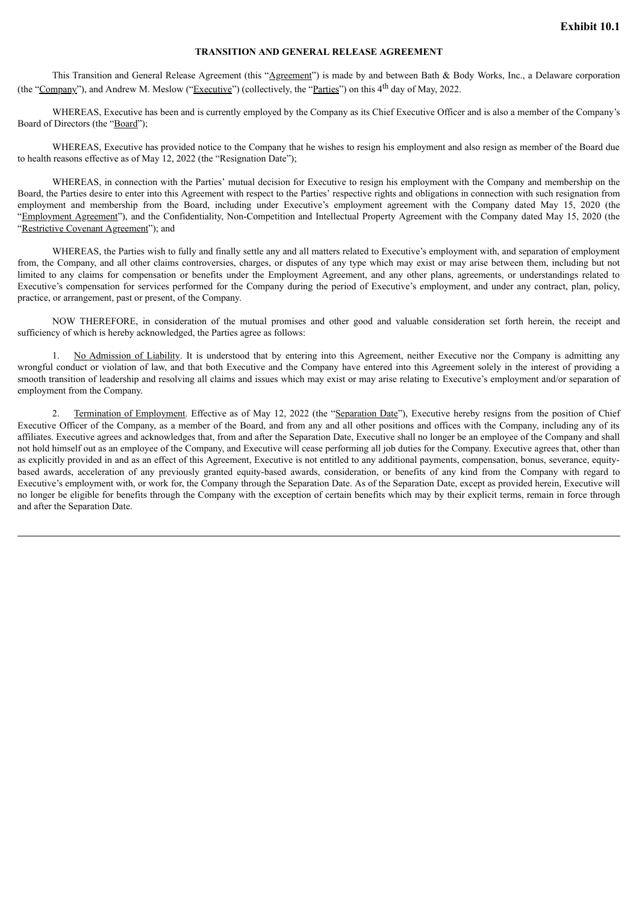## **TRANSITION AND GENERAL RELEASE AGREEMENT**

<span id="page-4-0"></span>This Transition and General Release Agreement (this "Agreement") is made by and between Bath & Body Works, Inc., a Delaware corporation (the "Company"), and Andrew M. Meslow ("Executive") (collectively, the "Parties") on this 4<sup>th</sup> day of May, 2022.

WHEREAS, Executive has been and is currently employed by the Company as its Chief Executive Officer and is also a member of the Company's Board of Directors (the "Board");

WHEREAS, Executive has provided notice to the Company that he wishes to resign his employment and also resign as member of the Board due to health reasons effective as of May 12, 2022 (the "Resignation Date");

WHEREAS, in connection with the Parties' mutual decision for Executive to resign his employment with the Company and membership on the Board, the Parties desire to enter into this Agreement with respect to the Parties' respective rights and obligations in connection with such resignation from employment and membership from the Board, including under Executive's employment agreement with the Company dated May 15, 2020 (the "Employment Agreement"), and the Confidentiality, Non-Competition and Intellectual Property Agreement with the Company dated May 15, 2020 (the "Restrictive Covenant Agreement"); and

WHEREAS, the Parties wish to fully and finally settle any and all matters related to Executive's employment with, and separation of employment from, the Company, and all other claims controversies, charges, or disputes of any type which may exist or may arise between them, including but not limited to any claims for compensation or benefits under the Employment Agreement, and any other plans, agreements, or understandings related to Executive's compensation for services performed for the Company during the period of Executive's employment, and under any contract, plan, policy, practice, or arrangement, past or present, of the Company.

NOW THEREFORE, in consideration of the mutual promises and other good and valuable consideration set forth herein, the receipt and sufficiency of which is hereby acknowledged, the Parties agree as follows:

1. No Admission of Liability. It is understood that by entering into this Agreement, neither Executive nor the Company is admitting any wrongful conduct or violation of law, and that both Executive and the Company have entered into this Agreement solely in the interest of providing a smooth transition of leadership and resolving all claims and issues which may exist or may arise relating to Executive's employment and/or separation of employment from the Company.

2. Termination of Employment. Effective as of May 12, 2022 (the "Separation Date"), Executive hereby resigns from the position of Chief Executive Officer of the Company, as a member of the Board, and from any and all other positions and offices with the Company, including any of its affiliates. Executive agrees and acknowledges that, from and after the Separation Date, Executive shall no longer be an employee of the Company and shall not hold himself out as an employee of the Company, and Executive will cease performing all job duties for the Company. Executive agrees that, other than as explicitly provided in and as an effect of this Agreement, Executive is not entitled to any additional payments, compensation, bonus, severance, equitybased awards, acceleration of any previously granted equity-based awards, consideration, or benefits of any kind from the Company with regard to Executive's employment with, or work for, the Company through the Separation Date. As of the Separation Date, except as provided herein, Executive will no longer be eligible for benefits through the Company with the exception of certain benefits which may by their explicit terms, remain in force through and after the Separation Date.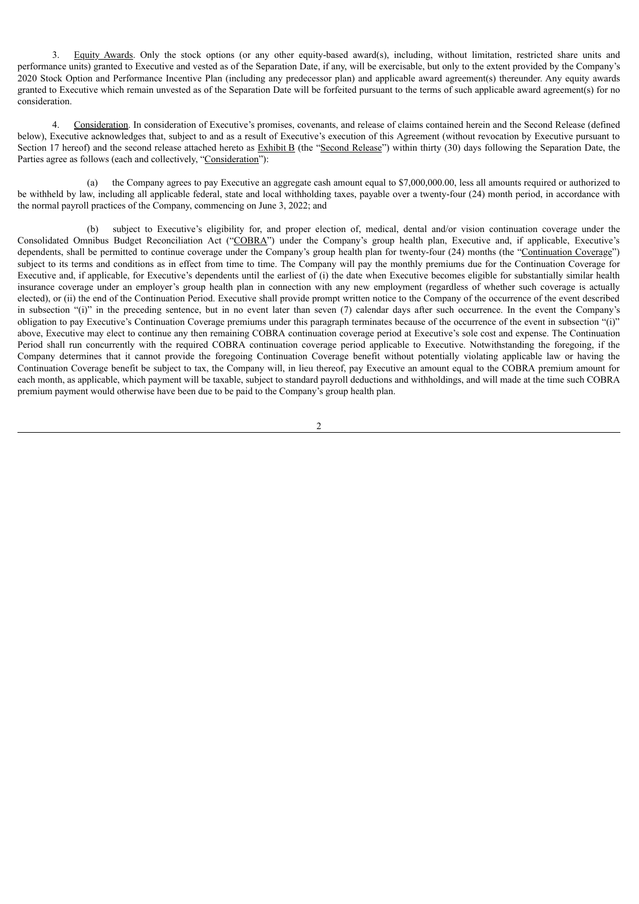3. Equity Awards. Only the stock options (or any other equity-based award(s), including, without limitation, restricted share units and performance units) granted to Executive and vested as of the Separation Date, if any, will be exercisable, but only to the extent provided by the Company's 2020 Stock Option and Performance Incentive Plan (including any predecessor plan) and applicable award agreement(s) thereunder. Any equity awards granted to Executive which remain unvested as of the Separation Date will be forfeited pursuant to the terms of such applicable award agreement(s) for no consideration.

4. Consideration. In consideration of Executive's promises, covenants, and release of claims contained herein and the Second Release (defined below), Executive acknowledges that, subject to and as a result of Executive's execution of this Agreement (without revocation by Executive pursuant to Section 17 hereof) and the second release attached hereto as Exhibit B (the "Second Release") within thirty (30) days following the Separation Date, the Parties agree as follows (each and collectively, "Consideration"):

(a) the Company agrees to pay Executive an aggregate cash amount equal to \$7,000,000.00, less all amounts required or authorized to be withheld by law, including all applicable federal, state and local withholding taxes, payable over a twenty-four (24) month period, in accordance with the normal payroll practices of the Company, commencing on June 3, 2022; and

(b) subject to Executive's eligibility for, and proper election of, medical, dental and/or vision continuation coverage under the Consolidated Omnibus Budget Reconciliation Act ("COBRA") under the Company's group health plan, Executive and, if applicable, Executive's dependents, shall be permitted to continue coverage under the Company's group health plan for twenty-four (24) months (the "Continuation Coverage") subject to its terms and conditions as in effect from time to time. The Company will pay the monthly premiums due for the Continuation Coverage for Executive and, if applicable, for Executive's dependents until the earliest of (i) the date when Executive becomes eligible for substantially similar health insurance coverage under an employer's group health plan in connection with any new employment (regardless of whether such coverage is actually elected), or (ii) the end of the Continuation Period. Executive shall provide prompt written notice to the Company of the occurrence of the event described in subsection "(i)" in the preceding sentence, but in no event later than seven (7) calendar days after such occurrence. In the event the Company's obligation to pay Executive's Continuation Coverage premiums under this paragraph terminates because of the occurrence of the event in subsection "(i)" above, Executive may elect to continue any then remaining COBRA continuation coverage period at Executive's sole cost and expense. The Continuation Period shall run concurrently with the required COBRA continuation coverage period applicable to Executive. Notwithstanding the foregoing, if the Company determines that it cannot provide the foregoing Continuation Coverage benefit without potentially violating applicable law or having the Continuation Coverage benefit be subject to tax, the Company will, in lieu thereof, pay Executive an amount equal to the COBRA premium amount for each month, as applicable, which payment will be taxable, subject to standard payroll deductions and withholdings, and will made at the time such COBRA premium payment would otherwise have been due to be paid to the Company's group health plan.

 $\overline{2}$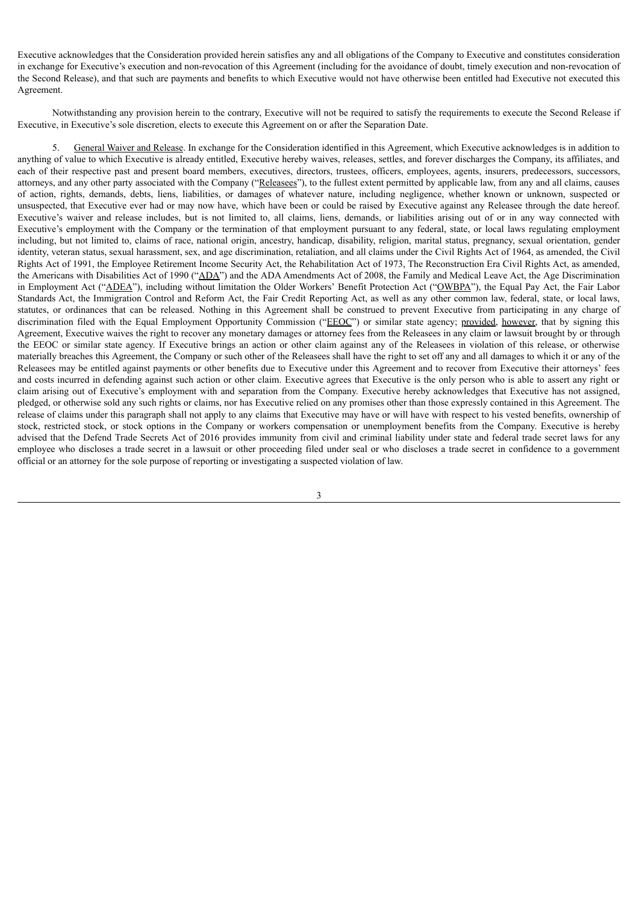Executive acknowledges that the Consideration provided herein satisfies any and all obligations of the Company to Executive and constitutes consideration in exchange for Executive's execution and non-revocation of this Agreement (including for the avoidance of doubt, timely execution and non-revocation of the Second Release), and that such are payments and benefits to which Executive would not have otherwise been entitled had Executive not executed this Agreement.

Notwithstanding any provision herein to the contrary, Executive will not be required to satisfy the requirements to execute the Second Release if Executive, in Executive's sole discretion, elects to execute this Agreement on or after the Separation Date.

5. General Waiver and Release. In exchange for the Consideration identified in this Agreement, which Executive acknowledges is in addition to anything of value to which Executive is already entitled, Executive hereby waives, releases, settles, and forever discharges the Company, its affiliates, and each of their respective past and present board members, executives, directors, trustees, officers, employees, agents, insurers, predecessors, successors, attorneys, and any other party associated with the Company ("Releasees"), to the fullest extent permitted by applicable law, from any and all claims, causes of action, rights, demands, debts, liens, liabilities, or damages of whatever nature, including negligence, whether known or unknown, suspected or unsuspected, that Executive ever had or may now have, which have been or could be raised by Executive against any Releasee through the date hereof. Executive's waiver and release includes, but is not limited to, all claims, liens, demands, or liabilities arising out of or in any way connected with Executive's employment with the Company or the termination of that employment pursuant to any federal, state, or local laws regulating employment including, but not limited to, claims of race, national origin, ancestry, handicap, disability, religion, marital status, pregnancy, sexual orientation, gender identity, veteran status, sexual harassment, sex, and age discrimination, retaliation, and all claims under the Civil Rights Act of 1964, as amended, the Civil Rights Act of 1991, the Employee Retirement Income Security Act, the Rehabilitation Act of 1973, The Reconstruction Era Civil Rights Act, as amended, the Americans with Disabilities Act of 1990 ("ADA") and the ADA Amendments Act of 2008, the Family and Medical Leave Act, the Age Discrimination in Employment Act ("ADEA"), including without limitation the Older Workers' Benefit Protection Act ("OWBPA"), the Equal Pay Act, the Fair Labor Standards Act, the Immigration Control and Reform Act, the Fair Credit Reporting Act, as well as any other common law, federal, state, or local laws, statutes, or ordinances that can be released. Nothing in this Agreement shall be construed to prevent Executive from participating in any charge of discrimination filed with the Equal Employment Opportunity Commission ("EEOC") or similar state agency; provided, however, that by signing this Agreement, Executive waives the right to recover any monetary damages or attorney fees from the Releasees in any claim or lawsuit brought by or through the EEOC or similar state agency. If Executive brings an action or other claim against any of the Releasees in violation of this release, or otherwise materially breaches this Agreement, the Company or such other of the Releasees shall have the right to set off any and all damages to which it or any of the Releasees may be entitled against payments or other benefits due to Executive under this Agreement and to recover from Executive their attorneys' fees and costs incurred in defending against such action or other claim. Executive agrees that Executive is the only person who is able to assert any right or claim arising out of Executive's employment with and separation from the Company. Executive hereby acknowledges that Executive has not assigned, pledged, or otherwise sold any such rights or claims, nor has Executive relied on any promises other than those expressly contained in this Agreement. The release of claims under this paragraph shall not apply to any claims that Executive may have or will have with respect to his vested benefits, ownership of stock, restricted stock, or stock options in the Company or workers compensation or unemployment benefits from the Company. Executive is hereby advised that the Defend Trade Secrets Act of 2016 provides immunity from civil and criminal liability under state and federal trade secret laws for any employee who discloses a trade secret in a lawsuit or other proceeding filed under seal or who discloses a trade secret in confidence to a government official or an attorney for the sole purpose of reporting or investigating a suspected violation of law.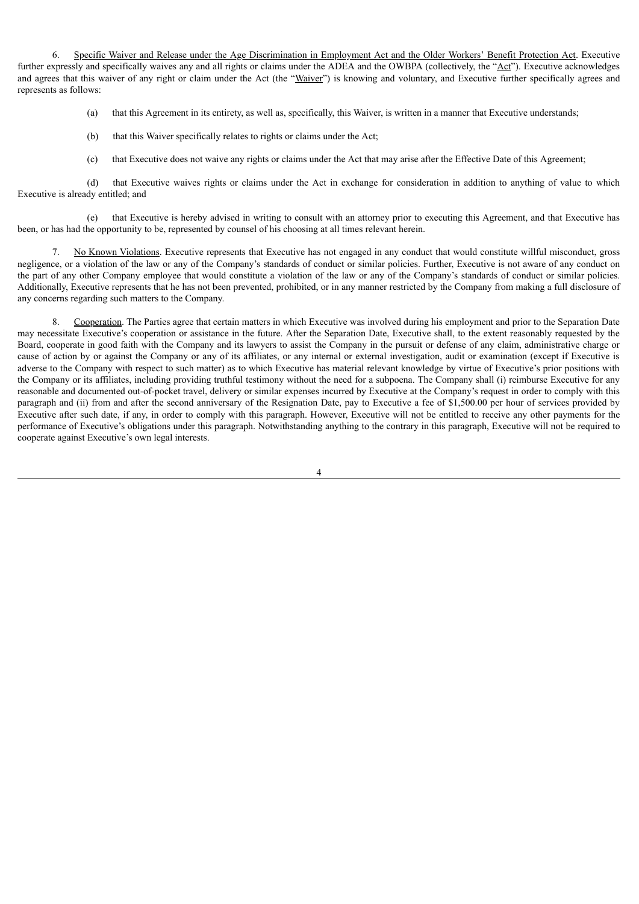6. Specific Waiver and Release under the Age Discrimination in Employment Act and the Older Workers' Benefit Protection Act. Executive further expressly and specifically waives any and all rights or claims under the ADEA and the OWBPA (collectively, the "Act"). Executive acknowledges and agrees that this waiver of any right or claim under the Act (the "Waiver") is knowing and voluntary, and Executive further specifically agrees and represents as follows:

(a) that this Agreement in its entirety, as well as, specifically, this Waiver, is written in a manner that Executive understands;

- (b) that this Waiver specifically relates to rights or claims under the Act;
- (c) that Executive does not waive any rights or claims under the Act that may arise after the Effective Date of this Agreement;

(d) that Executive waives rights or claims under the Act in exchange for consideration in addition to anything of value to which Executive is already entitled; and

(e) that Executive is hereby advised in writing to consult with an attorney prior to executing this Agreement, and that Executive has been, or has had the opportunity to be, represented by counsel of his choosing at all times relevant herein.

7. No Known Violations. Executive represents that Executive has not engaged in any conduct that would constitute willful misconduct, gross negligence, or a violation of the law or any of the Company's standards of conduct or similar policies. Further, Executive is not aware of any conduct on the part of any other Company employee that would constitute a violation of the law or any of the Company's standards of conduct or similar policies. Additionally, Executive represents that he has not been prevented, prohibited, or in any manner restricted by the Company from making a full disclosure of any concerns regarding such matters to the Company.

8. Cooperation. The Parties agree that certain matters in which Executive was involved during his employment and prior to the Separation Date may necessitate Executive's cooperation or assistance in the future. After the Separation Date, Executive shall, to the extent reasonably requested by the Board, cooperate in good faith with the Company and its lawyers to assist the Company in the pursuit or defense of any claim, administrative charge or cause of action by or against the Company or any of its affiliates, or any internal or external investigation, audit or examination (except if Executive is adverse to the Company with respect to such matter) as to which Executive has material relevant knowledge by virtue of Executive's prior positions with the Company or its affiliates, including providing truthful testimony without the need for a subpoena. The Company shall (i) reimburse Executive for any reasonable and documented out-of-pocket travel, delivery or similar expenses incurred by Executive at the Company's request in order to comply with this paragraph and (ii) from and after the second anniversary of the Resignation Date, pay to Executive a fee of \$1,500.00 per hour of services provided by Executive after such date, if any, in order to comply with this paragraph. However, Executive will not be entitled to receive any other payments for the performance of Executive's obligations under this paragraph. Notwithstanding anything to the contrary in this paragraph, Executive will not be required to cooperate against Executive's own legal interests.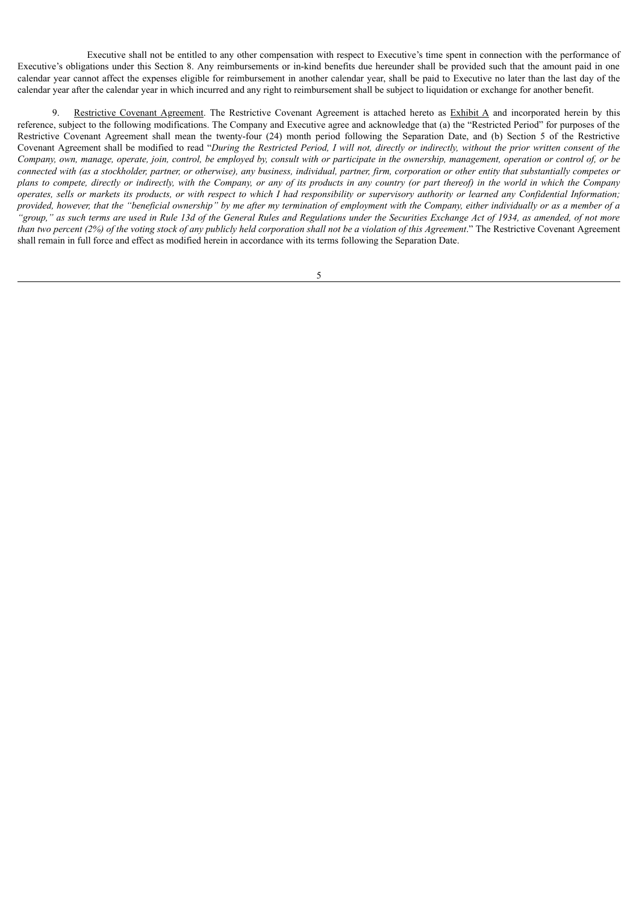Executive shall not be entitled to any other compensation with respect to Executive's time spent in connection with the performance of Executive's obligations under this Section 8. Any reimbursements or in-kind benefits due hereunder shall be provided such that the amount paid in one calendar year cannot affect the expenses eligible for reimbursement in another calendar year, shall be paid to Executive no later than the last day of the calendar year after the calendar year in which incurred and any right to reimbursement shall be subject to liquidation or exchange for another benefit.

9. Restrictive Covenant Agreement. The Restrictive Covenant Agreement is attached hereto as Exhibit A and incorporated herein by this reference, subject to the following modifications. The Company and Executive agree and acknowledge that (a) the "Restricted Period" for purposes of the Restrictive Covenant Agreement shall mean the twenty-four (24) month period following the Separation Date, and (b) Section 5 of the Restrictive Covenant Agreement shall be modified to read "During the Restricted Period, I will not, directly or indirectly, without the prior written consent of the Company, own, manage, operate, join, control, be employed by, consult with or participate in the ownership, management, operation or control of, or be connected with (as a stockholder, partner, or otherwise), any business, individual, partner, firm, corporation or other entity that substantially competes or plans to compete, directly or indirectly, with the Company, or any of its products in any country (or part thereof) in the world in which the Company n<br>operates, sells or markets its products, or with respect to which I had responsibility or supervisory authority or learned any Confidential Information; provided, however, that the "beneficial ownership" by me after my termination of employment with the Company, either individually or as a member of a "group," as such terms are used in Rule 13d of the General Rules and Regulations under the Securities Exchange Act of 1934, as amended, of not more than two percent (2%) of the voting stock of any publicly held corporation shall not be a violation of this Agreement." The Restrictive Covenant Agreement shall remain in full force and effect as modified herein in accordance with its terms following the Separation Date.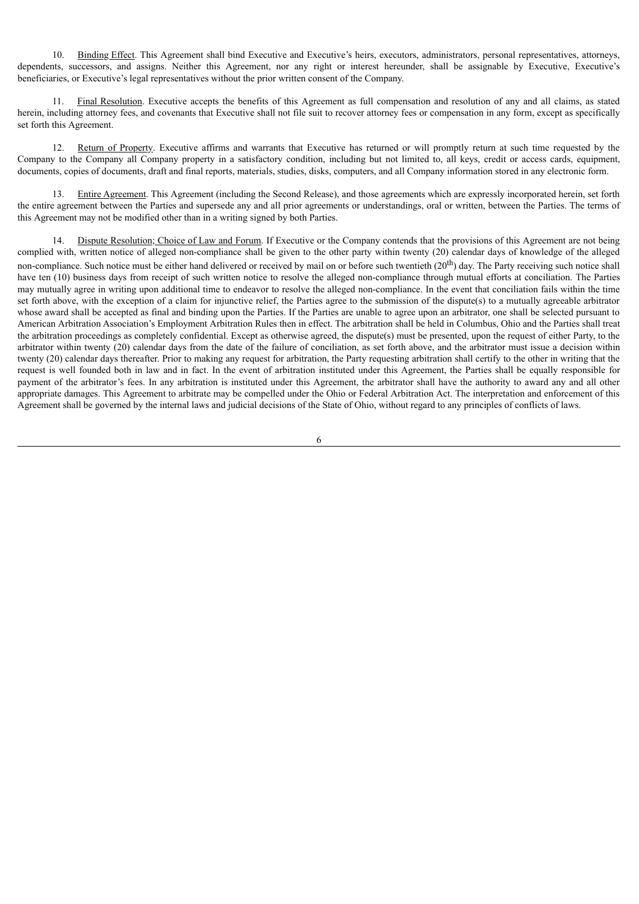10. Binding Effect. This Agreement shall bind Executive and Executive's heirs, executors, administrators, personal representatives, attorneys, dependents, successors, and assigns. Neither this Agreement, nor any right or interest hereunder, shall be assignable by Executive, Executive's beneficiaries, or Executive's legal representatives without the prior written consent of the Company.

11. Final Resolution. Executive accepts the benefits of this Agreement as full compensation and resolution of any and all claims, as stated herein, including attorney fees, and covenants that Executive shall not file suit to recover attorney fees or compensation in any form, except as specifically set forth this Agreement.

12. Return of Property. Executive affirms and warrants that Executive has returned or will promptly return at such time requested by the Company to the Company all Company property in a satisfactory condition, including but not limited to, all keys, credit or access cards, equipment, documents, copies of documents, draft and final reports, materials, studies, disks, computers, and all Company information stored in any electronic form.

13. Entire Agreement. This Agreement (including the Second Release), and those agreements which are expressly incorporated herein, set forth the entire agreement between the Parties and supersede any and all prior agreements or understandings, oral or written, between the Parties. The terms of this Agreement may not be modified other than in a writing signed by both Parties.

Dispute Resolution; Choice of Law and Forum. If Executive or the Company contends that the provisions of this Agreement are not being complied with, written notice of alleged non-compliance shall be given to the other party within twenty (20) calendar days of knowledge of the alleged non-compliance. Such notice must be either hand delivered or received by mail on or before such twentieth (20<sup>th</sup>) day. The Party receiving such notice shall have ten (10) business days from receipt of such written notice to resolve the alleged non-compliance through mutual efforts at conciliation. The Parties may mutually agree in writing upon additional time to endeavor to resolve the alleged non-compliance. In the event that conciliation fails within the time set forth above, with the exception of a claim for injunctive relief, the Parties agree to the submission of the dispute(s) to a mutually agreeable arbitrator whose award shall be accepted as final and binding upon the Parties. If the Parties are unable to agree upon an arbitrator, one shall be selected pursuant to American Arbitration Association's Employment Arbitration Rules then in effect. The arbitration shall be held in Columbus, Ohio and the Parties shall treat the arbitration proceedings as completely confidential. Except as otherwise agreed, the dispute(s) must be presented, upon the request of either Party, to the arbitrator within twenty (20) calendar days from the date of the failure of conciliation, as set forth above, and the arbitrator must issue a decision within twenty (20) calendar days thereafter. Prior to making any request for arbitration, the Party requesting arbitration shall certify to the other in writing that the request is well founded both in law and in fact. In the event of arbitration instituted under this Agreement, the Parties shall be equally responsible for payment of the arbitrator's fees. In any arbitration is instituted under this Agreement, the arbitrator shall have the authority to award any and all other appropriate damages. This Agreement to arbitrate may be compelled under the Ohio or Federal Arbitration Act. The interpretation and enforcement of this Agreement shall be governed by the internal laws and judicial decisions of the State of Ohio, without regard to any principles of conflicts of laws.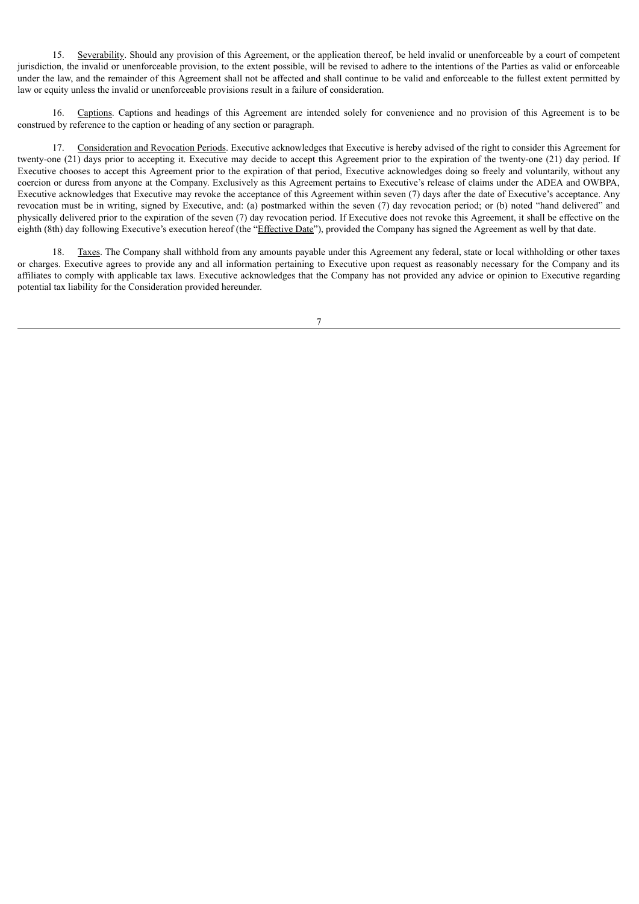15. Severability. Should any provision of this Agreement, or the application thereof, be held invalid or unenforceable by a court of competent jurisdiction, the invalid or unenforceable provision, to the extent possible, will be revised to adhere to the intentions of the Parties as valid or enforceable under the law, and the remainder of this Agreement shall not be affected and shall continue to be valid and enforceable to the fullest extent permitted by law or equity unless the invalid or unenforceable provisions result in a failure of consideration.

16. Captions. Captions and headings of this Agreement are intended solely for convenience and no provision of this Agreement is to be construed by reference to the caption or heading of any section or paragraph.

17. Consideration and Revocation Periods. Executive acknowledges that Executive is hereby advised of the right to consider this Agreement for twenty-one (21) days prior to accepting it. Executive may decide to accept this Agreement prior to the expiration of the twenty-one (21) day period. If Executive chooses to accept this Agreement prior to the expiration of that period, Executive acknowledges doing so freely and voluntarily, without any coercion or duress from anyone at the Company. Exclusively as this Agreement pertains to Executive's release of claims under the ADEA and OWBPA, Executive acknowledges that Executive may revoke the acceptance of this Agreement within seven (7) days after the date of Executive's acceptance. Any revocation must be in writing, signed by Executive, and: (a) postmarked within the seven (7) day revocation period; or (b) noted "hand delivered" and physically delivered prior to the expiration of the seven (7) day revocation period. If Executive does not revoke this Agreement, it shall be effective on the eighth (8th) day following Executive's execution hereof (the "Effective Date"), provided the Company has signed the Agreement as well by that date.

18. Taxes. The Company shall withhold from any amounts payable under this Agreement any federal, state or local withholding or other taxes or charges. Executive agrees to provide any and all information pertaining to Executive upon request as reasonably necessary for the Company and its affiliates to comply with applicable tax laws. Executive acknowledges that the Company has not provided any advice or opinion to Executive regarding potential tax liability for the Consideration provided hereunder.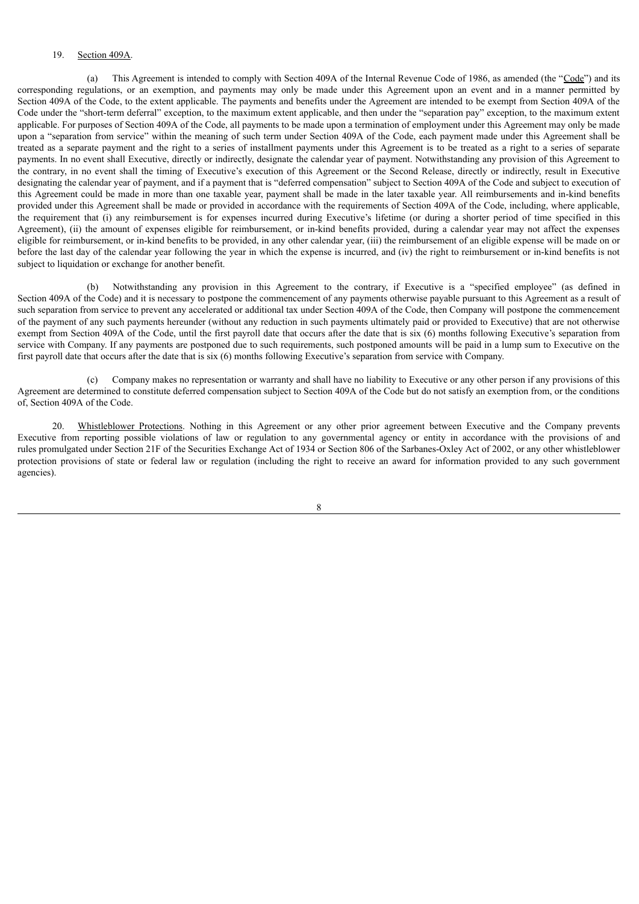#### 19. Section 409A.

(a) This Agreement is intended to comply with Section 409A of the Internal Revenue Code of 1986, as amended (the "Code") and its corresponding regulations, or an exemption, and payments may only be made under this Agreement upon an event and in a manner permitted by Section 409A of the Code, to the extent applicable. The payments and benefits under the Agreement are intended to be exempt from Section 409A of the Code under the "short-term deferral" exception, to the maximum extent applicable, and then under the "separation pay" exception, to the maximum extent applicable. For purposes of Section 409A of the Code, all payments to be made upon a termination of employment under this Agreement may only be made upon a "separation from service" within the meaning of such term under Section 409A of the Code, each payment made under this Agreement shall be treated as a separate payment and the right to a series of installment payments under this Agreement is to be treated as a right to a series of separate payments. In no event shall Executive, directly or indirectly, designate the calendar year of payment. Notwithstanding any provision of this Agreement to the contrary, in no event shall the timing of Executive's execution of this Agreement or the Second Release, directly or indirectly, result in Executive designating the calendar year of payment, and if a payment that is "deferred compensation" subject to Section 409A of the Code and subject to execution of this Agreement could be made in more than one taxable year, payment shall be made in the later taxable year. All reimbursements and in-kind benefits provided under this Agreement shall be made or provided in accordance with the requirements of Section 409A of the Code, including, where applicable, the requirement that (i) any reimbursement is for expenses incurred during Executive's lifetime (or during a shorter period of time specified in this Agreement), (ii) the amount of expenses eligible for reimbursement, or in-kind benefits provided, during a calendar year may not affect the expenses eligible for reimbursement, or in-kind benefits to be provided, in any other calendar year, (iii) the reimbursement of an eligible expense will be made on or before the last day of the calendar year following the year in which the expense is incurred, and (iv) the right to reimbursement or in-kind benefits is not subject to liquidation or exchange for another benefit.

(b) Notwithstanding any provision in this Agreement to the contrary, if Executive is a "specified employee" (as defined in Section 409A of the Code) and it is necessary to postpone the commencement of any payments otherwise payable pursuant to this Agreement as a result of such separation from service to prevent any accelerated or additional tax under Section 409A of the Code, then Company will postpone the commencement of the payment of any such payments hereunder (without any reduction in such payments ultimately paid or provided to Executive) that are not otherwise exempt from Section 409A of the Code, until the first payroll date that occurs after the date that is six (6) months following Executive's separation from service with Company. If any payments are postponed due to such requirements, such postponed amounts will be paid in a lump sum to Executive on the first payroll date that occurs after the date that is six (6) months following Executive's separation from service with Company.

(c) Company makes no representation or warranty and shall have no liability to Executive or any other person if any provisions of this Agreement are determined to constitute deferred compensation subject to Section 409A of the Code but do not satisfy an exemption from, or the conditions of, Section 409A of the Code.

20. Whistleblower Protections. Nothing in this Agreement or any other prior agreement between Executive and the Company prevents Executive from reporting possible violations of law or regulation to any governmental agency or entity in accordance with the provisions of and rules promulgated under Section 21F of the Securities Exchange Act of 1934 or Section 806 of the Sarbanes-Oxley Act of 2002, or any other whistleblower protection provisions of state or federal law or regulation (including the right to receive an award for information provided to any such government agencies).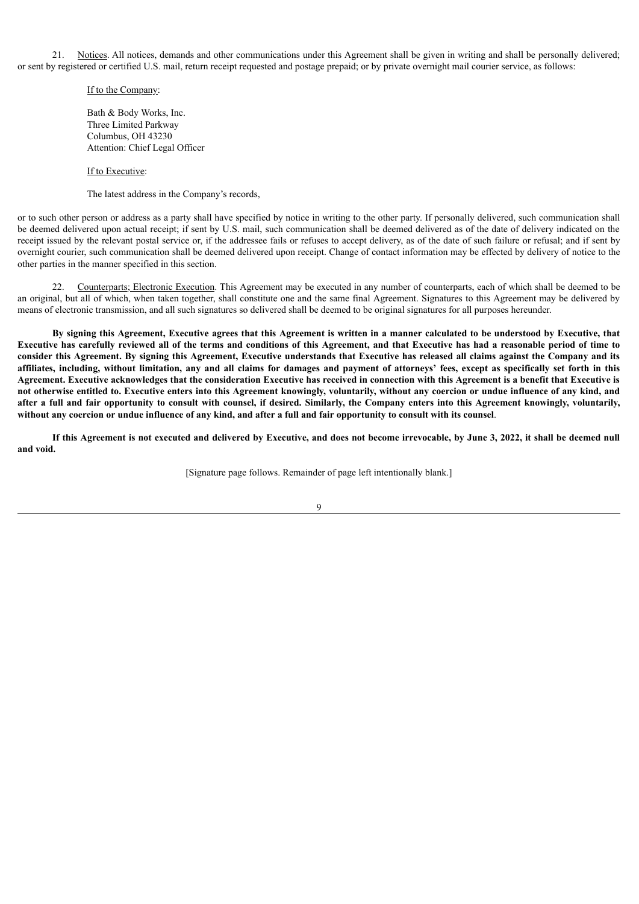21. Notices. All notices, demands and other communications under this Agreement shall be given in writing and shall be personally delivered; or sent by registered or certified U.S. mail, return receipt requested and postage prepaid; or by private overnight mail courier service, as follows:

#### If to the Company:

Bath & Body Works, Inc. Three Limited Parkway Columbus, OH 43230 Attention: Chief Legal Officer

If to Executive:

The latest address in the Company's records,

or to such other person or address as a party shall have specified by notice in writing to the other party. If personally delivered, such communication shall be deemed delivered upon actual receipt; if sent by U.S. mail, such communication shall be deemed delivered as of the date of delivery indicated on the receipt issued by the relevant postal service or, if the addressee fails or refuses to accept delivery, as of the date of such failure or refusal; and if sent by overnight courier, such communication shall be deemed delivered upon receipt. Change of contact information may be effected by delivery of notice to the other parties in the manner specified in this section.

22. Counterparts; Electronic Execution. This Agreement may be executed in any number of counterparts, each of which shall be deemed to be an original, but all of which, when taken together, shall constitute one and the same final Agreement. Signatures to this Agreement may be delivered by means of electronic transmission, and all such signatures so delivered shall be deemed to be original signatures for all purposes hereunder.

By signing this Agreement, Executive agrees that this Agreement is written in a manner calculated to be understood by Executive, that Executive has carefully reviewed all of the terms and conditions of this Agreement, and that Executive has had a reasonable period of time to consider this Agreement. By signing this Agreement, Executive understands that Executive has released all claims against the Company and its affiliates, including, without limitation, any and all claims for damages and payment of attorneys' fees, except as specifically set forth in this Agreement. Executive acknowledges that the consideration Executive has received in connection with this Agreement is a benefit that Executive is not otherwise entitled to. Executive enters into this Agreement knowingly, voluntarily, without any coercion or undue influence of any kind, and after a full and fair opportunity to consult with counsel, if desired. Similarly, the Company enters into this Agreement knowingly, voluntarily, without any coercion or undue influence of any kind, and after a full and fair opportunity to consult with its counsel.

If this Agreement is not executed and delivered by Executive, and does not become irrevocable, by June 3, 2022, it shall be deemed null **and void.**

[Signature page follows. Remainder of page left intentionally blank.]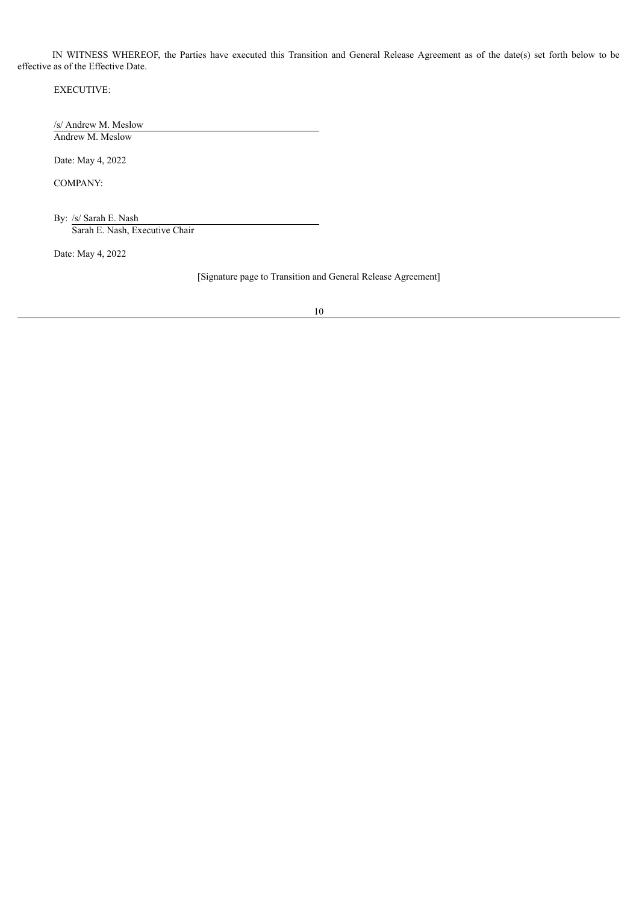IN WITNESS WHEREOF, the Parties have executed this Transition and General Release Agreement as of the date(s) set forth below to be effective as of the Effective Date.

EXECUTIVE:

/s/ Andrew M. Meslow Andrew M. Meslow

Date: May 4, 2022

COMPANY:

By: /s/ Sarah E. Nash Sarah E. Nash, Executive Chair

Date: May 4, 2022

[Signature page to Transition and General Release Agreement]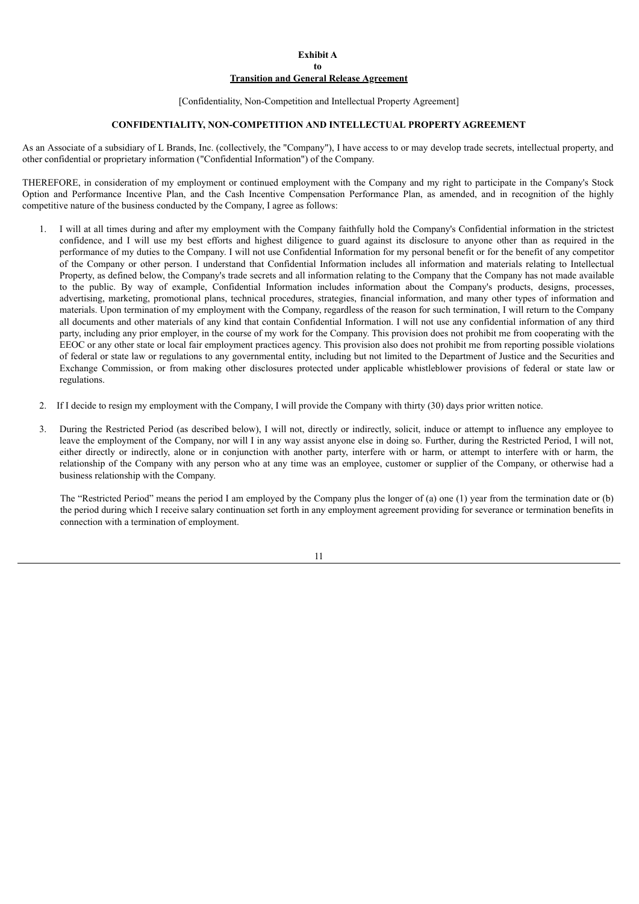#### **Exhibit A to Transition and General Release Agreement**

#### [Confidentiality, Non-Competition and Intellectual Property Agreement]

## **CONFIDENTIALITY, NON-COMPETITION AND INTELLECTUAL PROPERTY AGREEMENT**

As an Associate of a subsidiary of L Brands, Inc. (collectively, the "Company"), I have access to or may develop trade secrets, intellectual property, and other confidential or proprietary information ("Confidential Information") of the Company.

THEREFORE, in consideration of my employment or continued employment with the Company and my right to participate in the Company's Stock Option and Performance Incentive Plan, and the Cash Incentive Compensation Performance Plan, as amended, and in recognition of the highly competitive nature of the business conducted by the Company, I agree as follows:

- 1. I will at all times during and after my employment with the Company faithfully hold the Company's Confidential information in the strictest confidence, and I will use my best efforts and highest diligence to guard against its disclosure to anyone other than as required in the performance of my duties to the Company. I will not use Confidential Information for my personal benefit or for the benefit of any competitor of the Company or other person. I understand that Confidential Information includes all information and materials relating to Intellectual Property, as defined below, the Company's trade secrets and all information relating to the Company that the Company has not made available to the public. By way of example, Confidential Information includes information about the Company's products, designs, processes, advertising, marketing, promotional plans, technical procedures, strategies, financial information, and many other types of information and materials. Upon termination of my employment with the Company, regardless of the reason for such termination, I will return to the Company all documents and other materials of any kind that contain Confidential Information. I will not use any confidential information of any third party, including any prior employer, in the course of my work for the Company. This provision does not prohibit me from cooperating with the EEOC or any other state or local fair employment practices agency. This provision also does not prohibit me from reporting possible violations of federal or state law or regulations to any governmental entity, including but not limited to the Department of Justice and the Securities and Exchange Commission, or from making other disclosures protected under applicable whistleblower provisions of federal or state law or regulations.
- 2. If I decide to resign my employment with the Company, I will provide the Company with thirty (30) days prior written notice.
- 3. During the Restricted Period (as described below), I will not, directly or indirectly, solicit, induce or attempt to influence any employee to leave the employment of the Company, nor will I in any way assist anyone else in doing so. Further, during the Restricted Period, I will not, either directly or indirectly, alone or in conjunction with another party, interfere with or harm, or attempt to interfere with or harm, the relationship of the Company with any person who at any time was an employee, customer or supplier of the Company, or otherwise had a business relationship with the Company.

The "Restricted Period" means the period I am employed by the Company plus the longer of (a) one (1) year from the termination date or (b) the period during which I receive salary continuation set forth in any employment agreement providing for severance or termination benefits in connection with a termination of employment.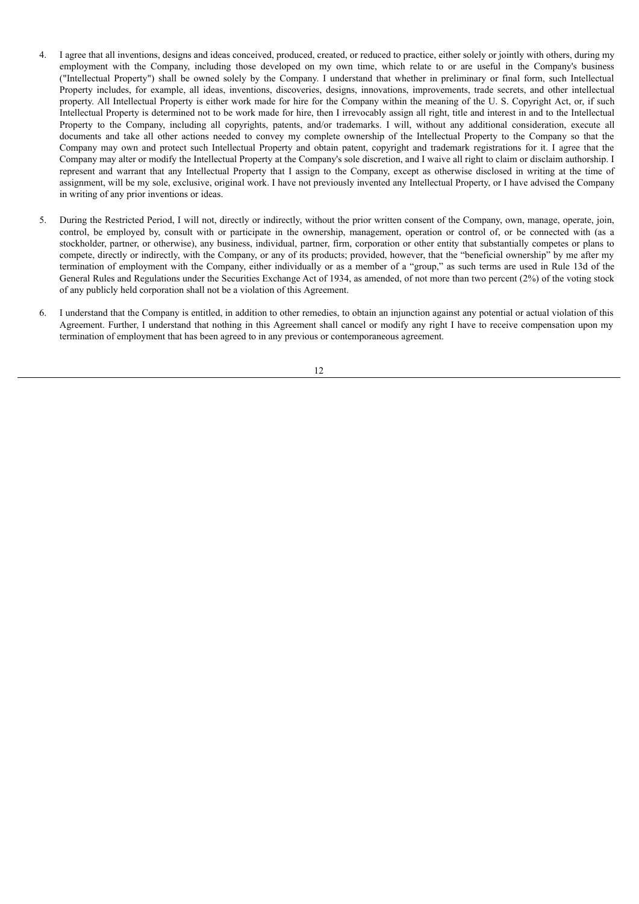- 4. I agree that all inventions, designs and ideas conceived, produced, created, or reduced to practice, either solely or jointly with others, during my employment with the Company, including those developed on my own time, which relate to or are useful in the Company's business ("Intellectual Property") shall be owned solely by the Company. I understand that whether in preliminary or final form, such Intellectual Property includes, for example, all ideas, inventions, discoveries, designs, innovations, improvements, trade secrets, and other intellectual property. All Intellectual Property is either work made for hire for the Company within the meaning of the U. S. Copyright Act, or, if such Intellectual Property is determined not to be work made for hire, then I irrevocably assign all right, title and interest in and to the Intellectual Property to the Company, including all copyrights, patents, and/or trademarks. I will, without any additional consideration, execute all documents and take all other actions needed to convey my complete ownership of the Intellectual Property to the Company so that the Company may own and protect such Intellectual Property and obtain patent, copyright and trademark registrations for it. I agree that the Company may alter or modify the Intellectual Property at the Company's sole discretion, and I waive all right to claim or disclaim authorship. I represent and warrant that any Intellectual Property that I assign to the Company, except as otherwise disclosed in writing at the time of assignment, will be my sole, exclusive, original work. I have not previously invented any Intellectual Property, or I have advised the Company in writing of any prior inventions or ideas.
- 5. During the Restricted Period, I will not, directly or indirectly, without the prior written consent of the Company, own, manage, operate, join, control, be employed by, consult with or participate in the ownership, management, operation or control of, or be connected with (as a stockholder, partner, or otherwise), any business, individual, partner, firm, corporation or other entity that substantially competes or plans to compete, directly or indirectly, with the Company, or any of its products; provided, however, that the "beneficial ownership" by me after my termination of employment with the Company, either individually or as a member of a "group," as such terms are used in Rule 13d of the General Rules and Regulations under the Securities Exchange Act of 1934, as amended, of not more than two percent (2%) of the voting stock of any publicly held corporation shall not be a violation of this Agreement.
- 6. I understand that the Company is entitled, in addition to other remedies, to obtain an injunction against any potential or actual violation of this Agreement. Further, I understand that nothing in this Agreement shall cancel or modify any right I have to receive compensation upon my termination of employment that has been agreed to in any previous or contemporaneous agreement.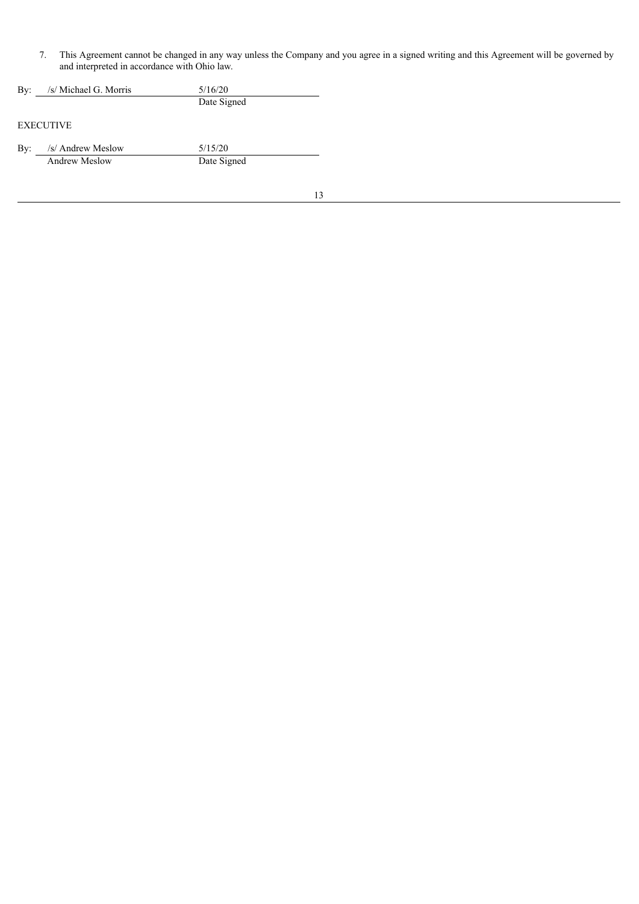7. This Agreement cannot be changed in any way unless the Company and you agree in a signed writing and this Agreement will be governed by and interpreted in accordance with Ohio law.

| By: | /s/ Michael G. Morris | 5/16/20     |  |
|-----|-----------------------|-------------|--|
|     |                       | Date Signed |  |
|     | <b>EXECUTIVE</b>      |             |  |

By: /s/ Andrew Meslow 5/15/20 Andrew Meslow Date Signed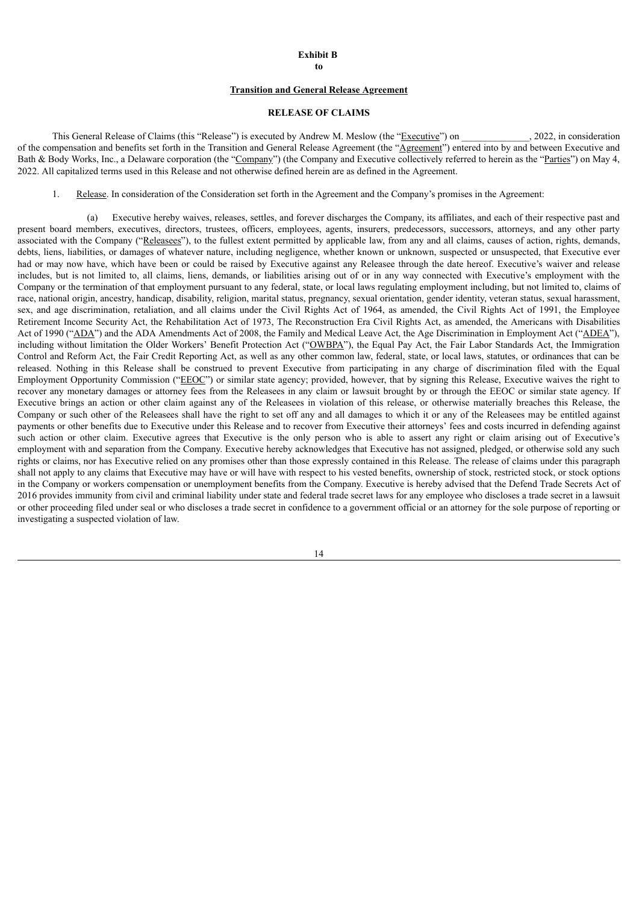#### **Exhibit B**

**to**

#### **Transition and General Release Agreement**

### **RELEASE OF CLAIMS**

This General Release of Claims (this "Release") is executed by Andrew M. Meslow (the "Executive") on  $\qquad \qquad$ , 2022, in consideration of the compensation and benefits set forth in the Transition and General Release Agreement (the "Agreement") entered into by and between Executive and Bath & Body Works, Inc., a Delaware corporation (the "Company") (the Company and Executive collectively referred to herein as the "Parties") on May 4, 2022. All capitalized terms used in this Release and not otherwise defined herein are as defined in the Agreement.

1. Release. In consideration of the Consideration set forth in the Agreement and the Company's promises in the Agreement:

(a) Executive hereby waives, releases, settles, and forever discharges the Company, its affiliates, and each of their respective past and present board members, executives, directors, trustees, officers, employees, agents, insurers, predecessors, successors, attorneys, and any other party associated with the Company ("Releasees"), to the fullest extent permitted by applicable law, from any and all claims, causes of action, rights, demands, debts, liens, liabilities, or damages of whatever nature, including negligence, whether known or unknown, suspected or unsuspected, that Executive ever had or may now have, which have been or could be raised by Executive against any Releasee through the date hereof. Executive's waiver and release includes, but is not limited to, all claims, liens, demands, or liabilities arising out of or in any way connected with Executive's employment with the Company or the termination of that employment pursuant to any federal, state, or local laws regulating employment including, but not limited to, claims of race, national origin, ancestry, handicap, disability, religion, marital status, pregnancy, sexual orientation, gender identity, veteran status, sexual harassment, sex, and age discrimination, retaliation, and all claims under the Civil Rights Act of 1964, as amended, the Civil Rights Act of 1991, the Employee Retirement Income Security Act, the Rehabilitation Act of 1973, The Reconstruction Era Civil Rights Act, as amended, the Americans with Disabilities Act of 1990 ("ADA") and the ADA Amendments Act of 2008, the Family and Medical Leave Act, the Age Discrimination in Employment Act ("ADEA"), including without limitation the Older Workers' Benefit Protection Act ("OWBPA"), the Equal Pay Act, the Fair Labor Standards Act, the Immigration Control and Reform Act, the Fair Credit Reporting Act, as well as any other common law, federal, state, or local laws, statutes, or ordinances that can be released. Nothing in this Release shall be construed to prevent Executive from participating in any charge of discrimination filed with the Equal Employment Opportunity Commission ("EEOC") or similar state agency; provided, however, that by signing this Release, Executive waives the right to recover any monetary damages or attorney fees from the Releasees in any claim or lawsuit brought by or through the EEOC or similar state agency. If Executive brings an action or other claim against any of the Releasees in violation of this release, or otherwise materially breaches this Release, the Company or such other of the Releasees shall have the right to set off any and all damages to which it or any of the Releasees may be entitled against payments or other benefits due to Executive under this Release and to recover from Executive their attorneys' fees and costs incurred in defending against such action or other claim. Executive agrees that Executive is the only person who is able to assert any right or claim arising out of Executive's employment with and separation from the Company. Executive hereby acknowledges that Executive has not assigned, pledged, or otherwise sold any such rights or claims, nor has Executive relied on any promises other than those expressly contained in this Release. The release of claims under this paragraph shall not apply to any claims that Executive may have or will have with respect to his vested benefits, ownership of stock, restricted stock, or stock options in the Company or workers compensation or unemployment benefits from the Company. Executive is hereby advised that the Defend Trade Secrets Act of 2016 provides immunity from civil and criminal liability under state and federal trade secret laws for any employee who discloses a trade secret in a lawsuit or other proceeding filed under seal or who discloses a trade secret in confidence to a government official or an attorney for the sole purpose of reporting or investigating a suspected violation of law.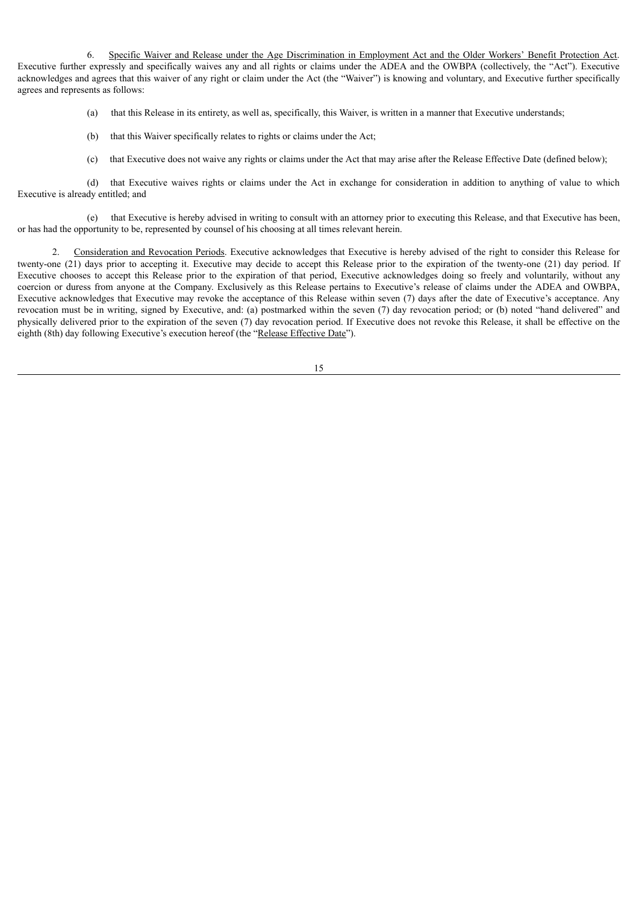6. Specific Waiver and Release under the Age Discrimination in Employment Act and the Older Workers' Benefit Protection Act. Executive further expressly and specifically waives any and all rights or claims under the ADEA and the OWBPA (collectively, the "Act"). Executive acknowledges and agrees that this waiver of any right or claim under the Act (the "Waiver") is knowing and voluntary, and Executive further specifically agrees and represents as follows:

(a) that this Release in its entirety, as well as, specifically, this Waiver, is written in a manner that Executive understands;

- (b) that this Waiver specifically relates to rights or claims under the Act;
- (c) that Executive does not waive any rights or claims under the Act that may arise after the Release Effective Date (defined below);

(d) that Executive waives rights or claims under the Act in exchange for consideration in addition to anything of value to which Executive is already entitled; and

(e) that Executive is hereby advised in writing to consult with an attorney prior to executing this Release, and that Executive has been, or has had the opportunity to be, represented by counsel of his choosing at all times relevant herein.

2. Consideration and Revocation Periods. Executive acknowledges that Executive is hereby advised of the right to consider this Release for twenty-one (21) days prior to accepting it. Executive may decide to accept this Release prior to the expiration of the twenty-one (21) day period. If Executive chooses to accept this Release prior to the expiration of that period, Executive acknowledges doing so freely and voluntarily, without any coercion or duress from anyone at the Company. Exclusively as this Release pertains to Executive's release of claims under the ADEA and OWBPA, Executive acknowledges that Executive may revoke the acceptance of this Release within seven (7) days after the date of Executive's acceptance. Any revocation must be in writing, signed by Executive, and: (a) postmarked within the seven (7) day revocation period; or (b) noted "hand delivered" and physically delivered prior to the expiration of the seven (7) day revocation period. If Executive does not revoke this Release, it shall be effective on the eighth (8th) day following Executive's execution hereof (the "Release Effective Date").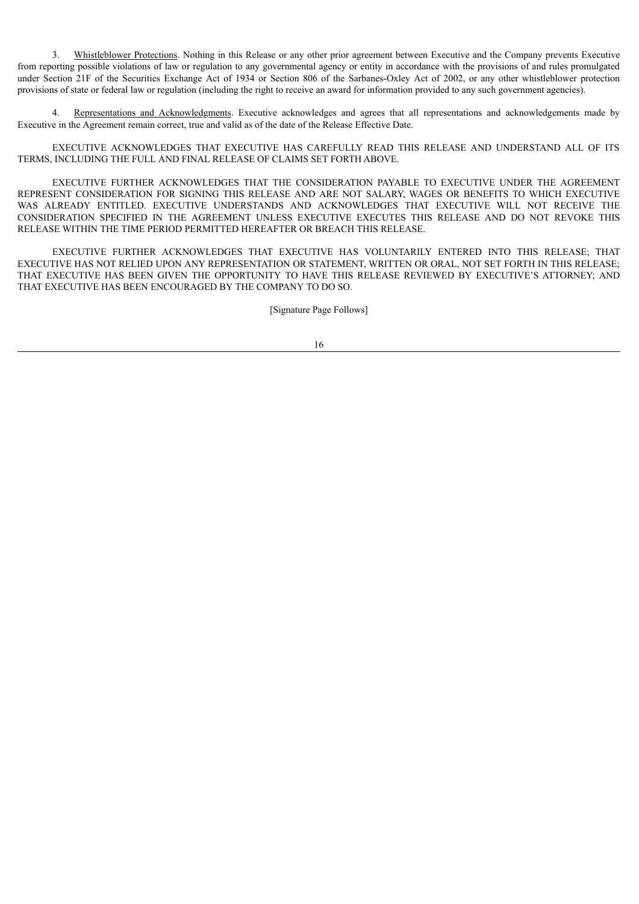3. Whistleblower Protections. Nothing in this Release or any other prior agreement between Executive and the Company prevents Executive from reporting possible violations of law or regulation to any governmental agency or entity in accordance with the provisions of and rules promulgated under Section 21F of the Securities Exchange Act of 1934 or Section 806 of the Sarbanes-Oxley Act of 2002, or any other whistleblower protection provisions of state or federal law or regulation (including the right to receive an award for information provided to any such government agencies).

Representations and Acknowledgments. Executive acknowledges and agrees that all representations and acknowledgements made by Executive in the Agreement remain correct, true and valid as of the date of the Release Effective Date.

EXECUTIVE ACKNOWLEDGES THAT EXECUTIVE HAS CAREFULLY READ THIS RELEASE AND UNDERSTAND ALL OF ITS TERMS, INCLUDING THE FULL AND FINAL RELEASE OF CLAIMS SET FORTH ABOVE.

EXECUTIVE FURTHER ACKNOWLEDGES THAT THE CONSIDERATION PAYABLE TO EXECUTIVE UNDER THE AGREEMENT REPRESENT CONSIDERATION FOR SIGNING THIS RELEASE AND ARE NOT SALARY, WAGES OR BENEFITS TO WHICH EXECUTIVE WAS ALREADY ENTITLED. EXECUTIVE UNDERSTANDS AND ACKNOWLEDGES THAT EXECUTIVE WILL NOT RECEIVE THE CONSIDERATION SPECIFIED IN THE AGREEMENT UNLESS EXECUTIVE EXECUTES THIS RELEASE AND DO NOT REVOKE THIS RELEASE WITHIN THE TIME PERIOD PERMITTED HEREAFTER OR BREACH THIS RELEASE.

EXECUTIVE FURTHER ACKNOWLEDGES THAT EXECUTIVE HAS VOLUNTARILY ENTERED INTO THIS RELEASE; THAT EXECUTIVE HAS NOT RELIED UPON ANY REPRESENTATION OR STATEMENT, WRITTEN OR ORAL, NOT SET FORTH IN THIS RELEASE; THAT EXECUTIVE HAS BEEN GIVEN THE OPPORTUNITY TO HAVE THIS RELEASE REVIEWED BY EXECUTIVE'S ATTORNEY; AND THAT EXECUTIVE HAS BEEN ENCOURAGED BY THE COMPANY TO DO SO.

[Signature Page Follows]